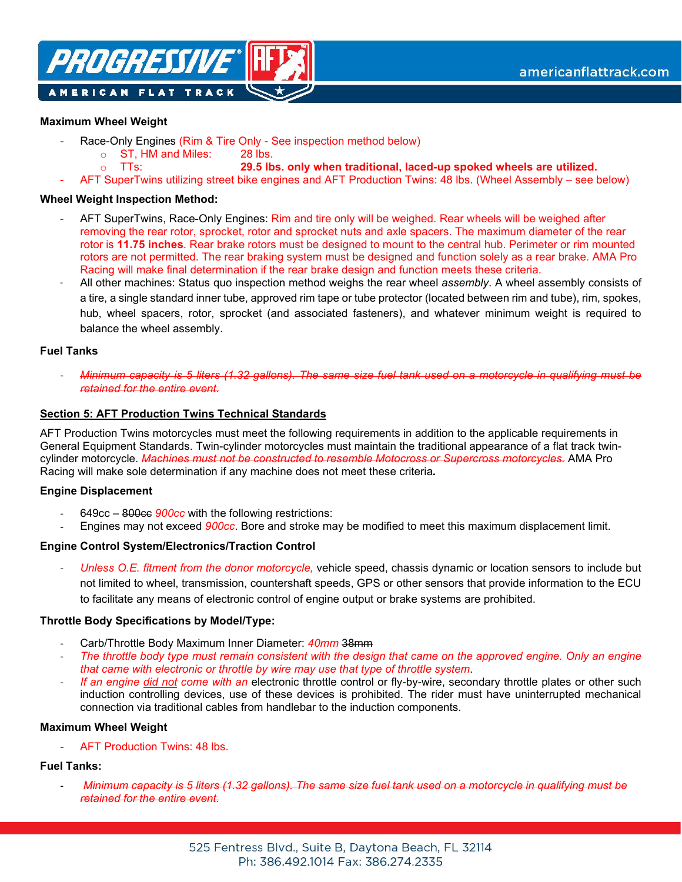

### **Maximum Wheel Weight**

- Race-Only Engines (Rim & Tire Only See inspection method below)
	- o ST, HM and Miles: 28 lbs.
		- **29.5 lbs. only when traditional, laced-up spoked wheels are utilized.**
- AFT SuperTwins utilizing street bike engines and AFT Production Twins: 48 lbs. (Wheel Assembly see below)

### **Wheel Weight Inspection Method:**

o TTs:

- AFT SuperTwins, Race-Only Engines: Rim and tire only will be weighed. Rear wheels will be weighed after removing the rear rotor, sprocket, rotor and sprocket nuts and axle spacers. The maximum diameter of the rear rotor is **11.75 inches**. Rear brake rotors must be designed to mount to the central hub. Perimeter or rim mounted rotors are not permitted. The rear braking system must be designed and function solely as a rear brake. AMA Pro Racing will make final determination if the rear brake design and function meets these criteria.
- All other machines: Status quo inspection method weighs the rear wheel *assembly*. A wheel assembly consists of a tire, a single standard inner tube, approved rim tape or tube protector (located between rim and tube), rim, spokes, hub, wheel spacers, rotor, sprocket (and associated fasteners), and whatever minimum weight is required to balance the wheel assembly.

#### **Fuel Tanks**

- *Minimum capacity is 5 liters (1.32 gallons). The same size fuel tank used on a motorcycle in qualifying must be retained for the entire event.*

### **Section 5: AFT Production Twins Technical Standards**

AFT Production Twins motorcycles must meet the following requirements in addition to the applicable requirements in General Equipment Standards. Twin-cylinder motorcycles must maintain the traditional appearance of a flat track twincylinder motorcycle. *Machines must not be constructed to resemble Motocross or Supercross motorcycles.* AMA Pro Racing will make sole determination if any machine does not meet these criteria*.*

#### **Engine Displacement**

- 649cc 800cc *900cc* with the following restrictions:
- Engines may not exceed *900cc*. Bore and stroke may be modified to meet this maximum displacement limit.

# **Engine Control System/Electronics/Traction Control**

- *Unless O.E. fitment from the donor motorcycle,* vehicle speed, chassis dynamic or location sensors to include but not limited to wheel, transmission, countershaft speeds, GPS or other sensors that provide information to the ECU to facilitate any means of electronic control of engine output or brake systems are prohibited.

#### **Throttle Body Specifications by Model/Type:**

- Carb/Throttle Body Maximum Inner Diameter: *40mm* 38mm
- *The throttle body type must remain consistent with the design that came on the approved engine. Only an engine that came with electronic or throttle by wire may use that type of throttle system*.
- *If an engine did not come with an* electronic throttle control or fly-by-wire, secondary throttle plates or other such induction controlling devices, use of these devices is prohibited. The rider must have uninterrupted mechanical connection via traditional cables from handlebar to the induction components.

#### **Maximum Wheel Weight**

AFT Production Twins: 48 lbs.

# **Fuel Tanks:**

- *Minimum capacity is 5 liters (1.32 gallons). The same size fuel tank used on a motorcycle in qualifying must be retained for the entire event.*